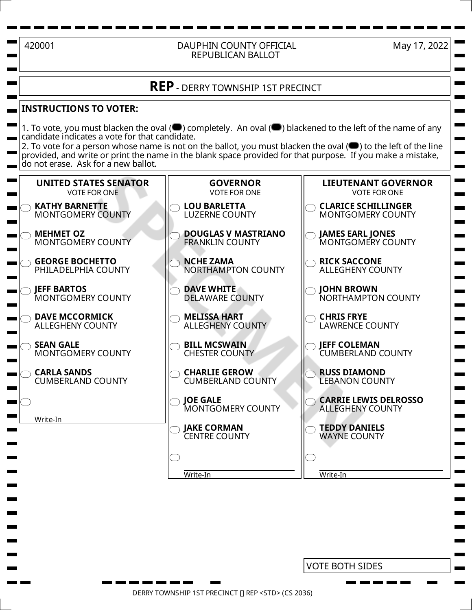## 420001 DAUPHIN COUNTY OFFICIAL REPUBLICAN BALLOT

## **REP**- DERRY TOWNSHIP 1ST PRECINCT

## **INSTRUCTIONS TO VOTER:**

1. To vote, you must blacken the oval ( $\blacksquare$ ) completely. An oval ( $\blacksquare$ ) blackened to the left of the name of any candidate indicates a vote for that candidate.

2. To vote for a person whose name is not on the ballot, you must blacken the oval  $($ **•**) to the left of the line provided, and write or print the name in the blank space provided for that purpose. If you make a mistake, do not erase. Ask for a new ballot.